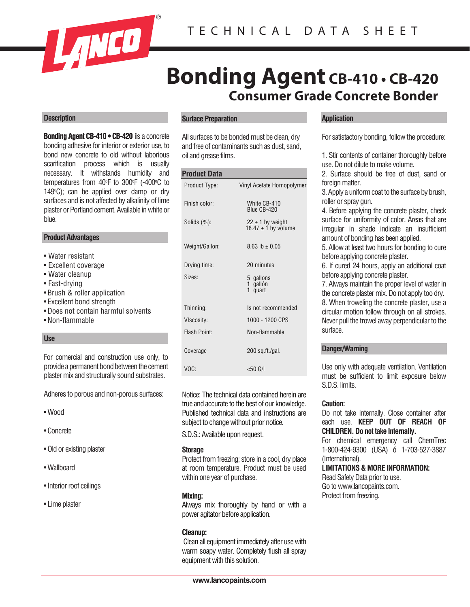

# **Consumer Grade Concrete Bonder Bonding Agent CB-410 • CB-420**

### **Description**

**Bonding Agent CB-410 • CB-420 CB-420 i**s a concrete bonding adhesive for interior or exterior use, to bond new concrete to old without laborious scarification process which is usually necessary. It withstands humidity and temperatures from 40°F to 300°F (-400°C to 149 $\degree$ C); can be applied over damp or dry surfaces and is not affected by alkalinity of lime plaster or Portland cement. Available in white or blue.

## **Product Advantages**

- Water resistant
- Excellent coverage
- Water cleanup
- Fast-drying
- Brush & roller application
- Excellent bond strength
- Does not contain harmful solvents
- Non-flammable

### **Use**

For comercial and construction use only, to provide a permanent bond between the cement plaster mix and structurally sound substrates.

Adheres to porous and non-porous surfaces:

- Wood
- Concrete
- Old or existing plaster
- Wallboard
- Interior roof ceilings
- Lime plaster

## **Surface Preparation**

All surfaces to be bonded must be clean, dry and free of contaminants such as dust, sand, oil and grease films.

## **Product Data**

| Product Type:   | Vinyl Acetate Homopolymer                       |
|-----------------|-------------------------------------------------|
| Finish color:   | White CB-410<br>Blue CB-420                     |
| Solids $(\%)$ : | $22 \pm 1$ by weight<br>18.47 $\pm$ 1 by volume |
| Weight/Gallon:  | 8.63 lb $\pm$ 0.05                              |
| Drying time:    | 20 minutes                                      |
| Sizes:          | 5 gallons<br>1 gallón<br>1.<br>quart            |
| Thinning:       | Is not recommended                              |
| VIscosity:      | 1000 - 1200 CPS                                 |
| Flash Point:    | Non-flammable                                   |
| Coverage        | 200 sq.ft./gal.                                 |
| VOC:            | $<$ 50 G/I                                      |

Notice: The technical data contained herein are true and accurate to the best of our knowledge. Published technical data and instructions are subject to change without prior notice.

S.D.S.: Available upon request.

#### **Storage**

Protect from freezing; store in a cool, dry place at room temperature. Product must be used within one year of purchase.

### **Mixing:**

Always mix thoroughly by hand or with a power agitator before application.

### **Cleanup:**

 Clean all equipment immediately after usewith warm soapy water. Completely flush all spray equipment with this solution.

### **Application**

For satistactory bonding, follow the procedure:

1. Stir contents of container thoroughly before use. Do not dilute to make volume.

2. Surface should be free of dust, sand or foreign matter.

3.Apply a uniform coat to the surface by brush, roller or spray gun.

4. Before applying the concrete plaster, check surface for uniformity of color. Areas that are irregular in shade indicate an insufficient amount of bonding has been applied.

5. Allow at least two hours for bonding to cure before applying concrete plaster.

6. If cured 24 hours, apply an additional coat before applying concrete plaster.

7. Always maintain the proper level of water in the concrete plaster mix. Do not apply too dry.

8. When troweling the concrete plaster, use a circular motion follow through on all strokes. Never pull the trowel away perpendicular to the surface.

#### **Danger/Warning**

Use only with adequate ventilation. Ventilation must be sufficient to limit exposure below S.D.S. limits.

#### **Caution:**

Do not take internally. Close container after each use. **KEEP OUT OF REACH OF CHILDREN. Do not take Internally.**

For chemical emergency call ChemTrec 1-800-424-9300 (USA) ó 1-703-527-3887 (International).

### **LIMITATIONS & MORE INFORMATION:**

Read Safety Data prior to use. Go to www.lancopaints.com. Protect from freezing.